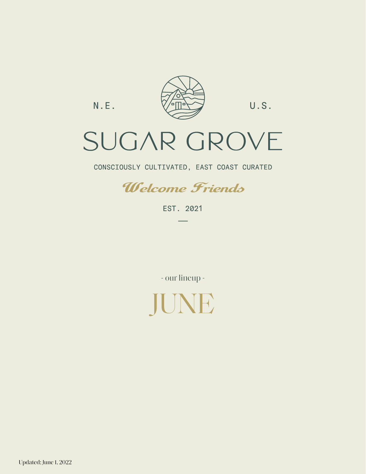$N.E.$ 



U.S.

# SUGAR GROVE

CONSCIOUSLY CULTIVATED, EAST COAST CURATED



EST. 2021

- our lineup -



Updated: June 1, 2022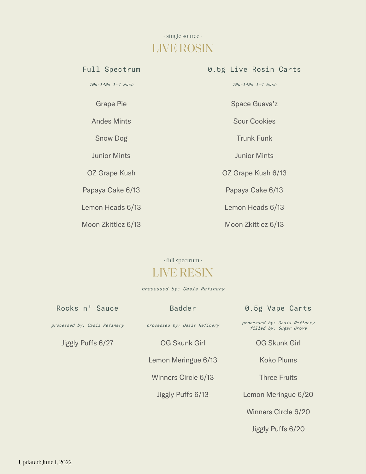# - single source - LIVE ROSIN

70u-149u 1-4 Wash 70u-149u 1-4 Wash

Papaya Cake 6/13 Papaya Cake 6/13

Lemon Heads 6/13 Lemon Heads 6/13

Moon Zkittlez 6/13 Moon Zkittlez 6/13

### Full Spectrum **0.5g Live Rosin Carts**

Grape Pie **Space Guava'z** 

Andes Mints **Sour Cookies** 

Snow Dog Trunk Funk

Junior Mints Junior Mints

OZ Grape Kush OZ Grape Kush 6/13

### - full spectrum - LIVE RESIN

processed by: Oasis Refinery

| Rocks n' Sauce               | <b>Badder</b>                | 0.5g Vape Carts                                        |
|------------------------------|------------------------------|--------------------------------------------------------|
| processed by: Oasis Refinery | processed by: Oasis Refinery | processed by: Oasis Refinery<br>filled by: Sugar Grove |
| Jiggly Puffs 6/27            | <b>OG Skunk Girl</b>         | <b>OG Skunk Girl</b>                                   |
|                              | Lemon Meringue 6/13          | <b>Koko Plums</b>                                      |
|                              | Winners Circle 6/13          | <b>Three Fruits</b>                                    |

Jiggly Puffs 6/20

Winners Circle 6/20

Jiggly Puffs 6/13 Lemon Meringue 6/20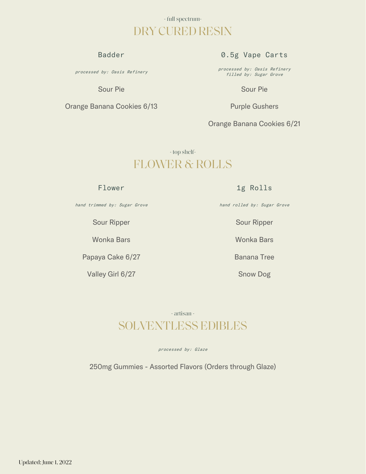### - full spectrum-DRY CURED RESIN

processed by: Oasis Refinery

Orange Banana Cookies 6/13 Purple Gushers

### Badder **0.5g Vape Carts**

processed by: Oasis Refinery filled by: Sugar Grove

Sour Pie Sour Pie

Orange Banana Cookies 6/21

- top shelf-FLOWER & ROLLS

Flower 1g Rolls

hand trimmed by: Sugar Grove hand rolled by: Sugar Grove

Sour Ripper Sour Ripper

Papaya Cake 6/27 Banana Tree

Valley Girl 6/27 Snow Dog

Wonka Bars Wonka Bars

## - artisan - SOLVENTLESS EDIBLES

processed by: Glaze

250mg Gummies - Assorted Flavors (Orders through Glaze)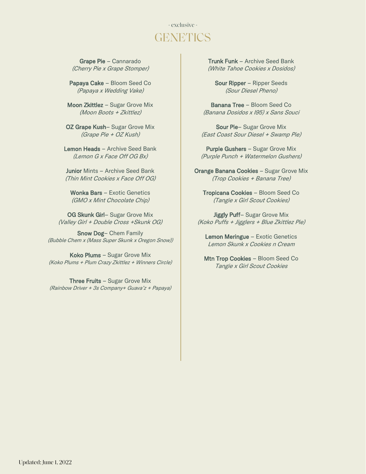## - exclusive - **GENETICS**

Grape Pie – Cannarado (Cherry Pie x Grape Stomper)

Papaya Cake – Bloom Seed Co (Papaya x Wedding Vake)

Moon Zkittlez – Sugar Grove Mix (Moon Boots + Zkittlez)

OZ Grape Kush– Sugar Grove Mix (Grape Pie + OZ Kush)

Lemon Heads – Archive Seed Bank (Lemon G x Face Off OG Bx)

Junior Mints – Archive Seed Bank (Thin Mint Cookies x Face Off OG)

Wonka Bars – Exotic Genetics (GMO x Mint Chocolate Chip)

OG Skunk Girl– Sugar Grove Mix (Valley Girl + Double Cross +Skunk OG)

Snow Dog– Chem Family (Bubble Chem x (Mass Super Skunk x Oregon Snow))

Koko Plums – Sugar Grove Mix (Koko Plums + Plum Crazy Zkittlez + Winners Circle)

Three Fruits – Sugar Grove Mix (Rainbow Driver + 3s Company+ Guava'z + Papaya) Trunk Funk – Archive Seed Bank (White Tahoe Cookies x Dosidos)

Sour Ripper – Ripper Seeds (Sour Diesel Pheno)

Banana Tree – Bloom Seed Co (Banana Dosidos x I95) x Sans Souci

Sour Pie– Sugar Grove Mix (East Coast Sour Diesel + Swamp Pie)

Purple Gushers – Sugar Grove Mix (Purple Punch + Watermelon Gushers)

Orange Banana Cookies – Sugar Grove Mix (Trop Cookies + Banana Tree)

Tropicana Cookies – Bloom Seed Co (Tangie x Girl Scout Cookies)

Jiggly Puff– Sugar Grove Mix (Koko Puffs + Jigglers + Blue Zkittlez Pie)

Lemon Meringue – Exotic Genetics Lemon Skunk x Cookies n Cream

Mtn Trop Cookies – Bloom Seed Co Tangie x Girl Scout Cookies